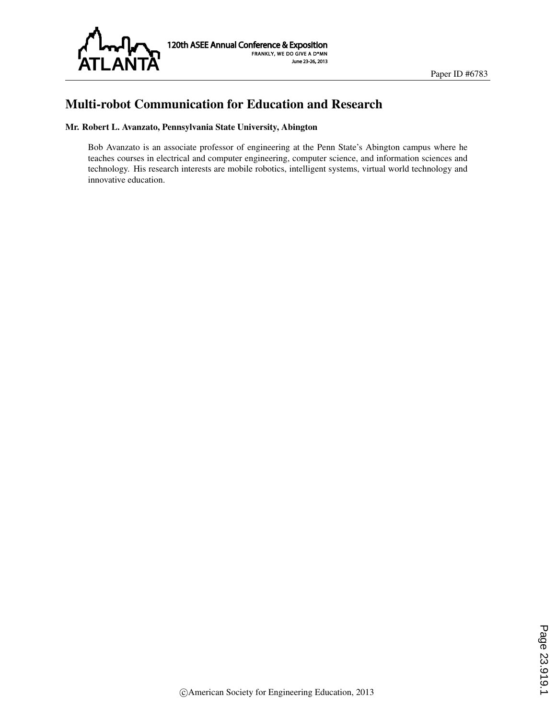

# Multi-robot Communication for Education and Research

#### Mr. Robert L. Avanzato, Pennsylvania State University, Abington

Bob Avanzato is an associate professor of engineering at the Penn State's Abington campus where he teaches courses in electrical and computer engineering, computer science, and information sciences and technology. His research interests are mobile robotics, intelligent systems, virtual world technology and innovative education.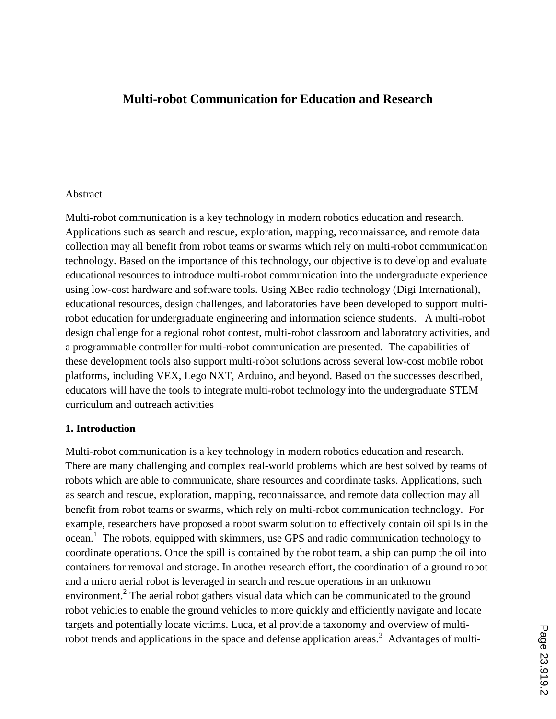# **Multi-robot Communication for Education and Research**

#### Abstract

Multi-robot communication is a key technology in modern robotics education and research. Applications such as search and rescue, exploration, mapping, reconnaissance, and remote data collection may all benefit from robot teams or swarms which rely on multi-robot communication technology. Based on the importance of this technology, our objective is to develop and evaluate educational resources to introduce multi-robot communication into the undergraduate experience using low-cost hardware and software tools. Using XBee radio technology (Digi International), educational resources, design challenges, and laboratories have been developed to support multirobot education for undergraduate engineering and information science students. A multi-robot design challenge for a regional robot contest, multi-robot classroom and laboratory activities, and a programmable controller for multi-robot communication are presented. The capabilities of these development tools also support multi-robot solutions across several low-cost mobile robot platforms, including VEX, Lego NXT, Arduino, and beyond. Based on the successes described, educators will have the tools to integrate multi-robot technology into the undergraduate STEM curriculum and outreach activities

#### **1. Introduction**

Multi-robot communication is a key technology in modern robotics education and research. There are many challenging and complex real-world problems which are best solved by teams of robots which are able to communicate, share resources and coordinate tasks. Applications, such as search and rescue, exploration, mapping, reconnaissance, and remote data collection may all benefit from robot teams or swarms, which rely on multi-robot communication technology. For example, researchers have proposed a robot swarm solution to effectively contain oil spills in the ocean.<sup>1</sup> The robots, equipped with skimmers, use GPS and radio communication technology to coordinate operations. Once the spill is contained by the robot team, a ship can pump the oil into containers for removal and storage. In another research effort, the coordination of a ground robot and a micro aerial robot is leveraged in search and rescue operations in an unknown environment.<sup>2</sup> The aerial robot gathers visual data which can be communicated to the ground robot vehicles to enable the ground vehicles to more quickly and efficiently navigate and locate targets and potentially locate victims. Luca, et al provide a taxonomy and overview of multirobot trends and applications in the space and defense application areas.<sup>3</sup> Advantages of multi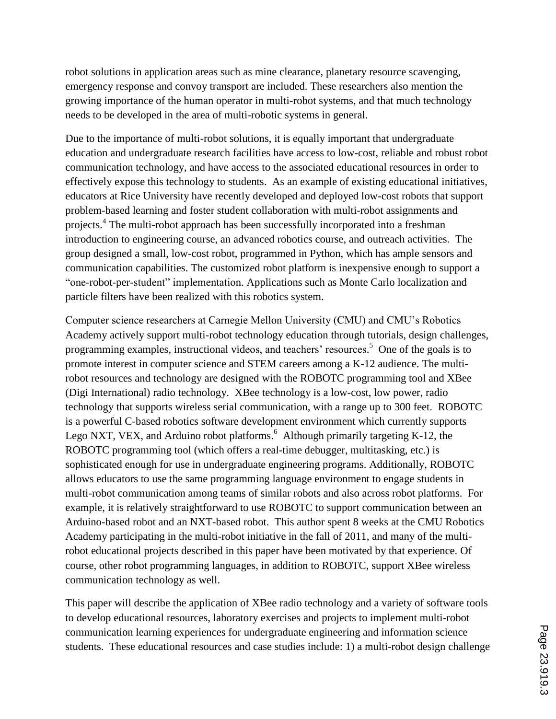robot solutions in application areas such as mine clearance, planetary resource scavenging, emergency response and convoy transport are included. These researchers also mention the growing importance of the human operator in multi-robot systems, and that much technology needs to be developed in the area of multi-robotic systems in general.

Due to the importance of multi-robot solutions, it is equally important that undergraduate education and undergraduate research facilities have access to low-cost, reliable and robust robot communication technology, and have access to the associated educational resources in order to effectively expose this technology to students. As an example of existing educational initiatives, educators at Rice University have recently developed and deployed low-cost robots that support problem-based learning and foster student collaboration with multi-robot assignments and projects.<sup>4</sup> The multi-robot approach has been successfully incorporated into a freshman introduction to engineering course, an advanced robotics course, and outreach activities. The group designed a small, low-cost robot, programmed in Python, which has ample sensors and communication capabilities. The customized robot platform is inexpensive enough to support a "one-robot-per-student" implementation. Applications such as Monte Carlo localization and particle filters have been realized with this robotics system.

Computer science researchers at Carnegie Mellon University (CMU) and CMU's Robotics Academy actively support multi-robot technology education through tutorials, design challenges, programming examples, instructional videos, and teachers' resources.<sup>5</sup> One of the goals is to promote interest in computer science and STEM careers among a K-12 audience. The multirobot resources and technology are designed with the ROBOTC programming tool and XBee (Digi International) radio technology. XBee technology is a low-cost, low power, radio technology that supports wireless serial communication, with a range up to 300 feet. ROBOTC is a powerful C-based robotics software development environment which currently supports Lego NXT, VEX, and Arduino robot platforms.<sup>6</sup> Although primarily targeting K-12, the ROBOTC programming tool (which offers a real-time debugger, multitasking, etc.) is sophisticated enough for use in undergraduate engineering programs. Additionally, ROBOTC allows educators to use the same programming language environment to engage students in multi-robot communication among teams of similar robots and also across robot platforms. For example, it is relatively straightforward to use ROBOTC to support communication between an Arduino-based robot and an NXT-based robot. This author spent 8 weeks at the CMU Robotics Academy participating in the multi-robot initiative in the fall of 2011, and many of the multirobot educational projects described in this paper have been motivated by that experience. Of course, other robot programming languages, in addition to ROBOTC, support XBee wireless communication technology as well.

This paper will describe the application of XBee radio technology and a variety of software tools to develop educational resources, laboratory exercises and projects to implement multi-robot communication learning experiences for undergraduate engineering and information science students. These educational resources and case studies include: 1) a multi-robot design challenge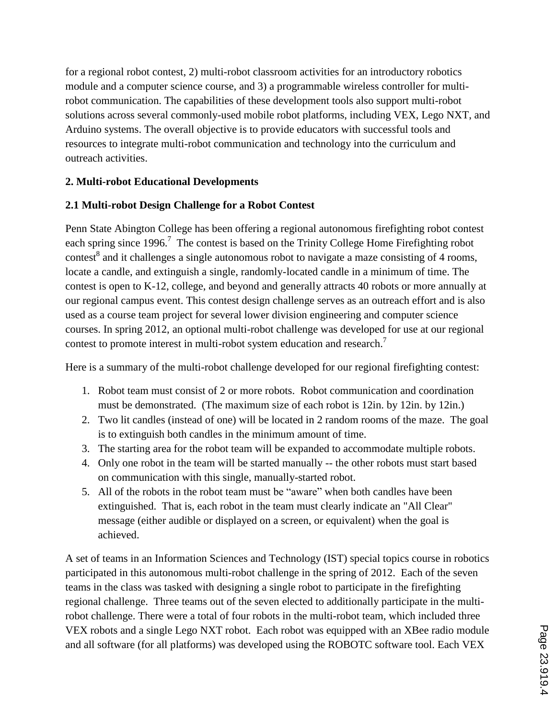for a regional robot contest, 2) multi-robot classroom activities for an introductory robotics module and a computer science course, and 3) a programmable wireless controller for multirobot communication. The capabilities of these development tools also support multi-robot solutions across several commonly-used mobile robot platforms, including VEX, Lego NXT, and Arduino systems. The overall objective is to provide educators with successful tools and resources to integrate multi-robot communication and technology into the curriculum and outreach activities.

### **2. Multi-robot Educational Developments**

### **2.1 Multi-robot Design Challenge for a Robot Contest**

Penn State Abington College has been offering a regional autonomous firefighting robot contest each spring since 1996.<sup>7</sup> The contest is based on the Trinity College Home Firefighting robot contest<sup>8</sup> and it challenges a single autonomous robot to navigate a maze consisting of 4 rooms, locate a candle, and extinguish a single, randomly-located candle in a minimum of time. The contest is open to K-12, college, and beyond and generally attracts 40 robots or more annually at our regional campus event. This contest design challenge serves as an outreach effort and is also used as a course team project for several lower division engineering and computer science courses. In spring 2012, an optional multi-robot challenge was developed for use at our regional contest to promote interest in multi-robot system education and research.<sup>7</sup>

Here is a summary of the multi-robot challenge developed for our regional firefighting contest:

- 1. Robot team must consist of 2 or more robots. Robot communication and coordination must be demonstrated. (The maximum size of each robot is 12in. by 12in. by 12in.)
- 2. Two lit candles (instead of one) will be located in 2 random rooms of the maze. The goal is to extinguish both candles in the minimum amount of time.
- 3. The starting area for the robot team will be expanded to accommodate multiple robots.
- 4. Only one robot in the team will be started manually -- the other robots must start based on communication with this single, manually-started robot.
- 5. All of the robots in the robot team must be "aware" when both candles have been extinguished. That is, each robot in the team must clearly indicate an "All Clear" message (either audible or displayed on a screen, or equivalent) when the goal is achieved.

A set of teams in an Information Sciences and Technology (IST) special topics course in robotics participated in this autonomous multi-robot challenge in the spring of 2012. Each of the seven teams in the class was tasked with designing a single robot to participate in the firefighting regional challenge. Three teams out of the seven elected to additionally participate in the multirobot challenge. There were a total of four robots in the multi-robot team, which included three VEX robots and a single Lego NXT robot. Each robot was equipped with an XBee radio module and all software (for all platforms) was developed using the ROBOTC software tool. Each VEX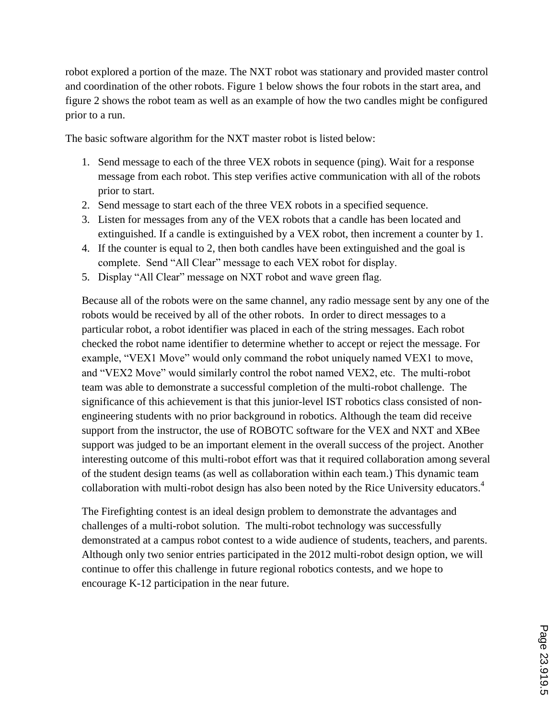robot explored a portion of the maze. The NXT robot was stationary and provided master control and coordination of the other robots. Figure 1 below shows the four robots in the start area, and figure 2 shows the robot team as well as an example of how the two candles might be configured prior to a run.

The basic software algorithm for the NXT master robot is listed below:

- 1. Send message to each of the three VEX robots in sequence (ping). Wait for a response message from each robot. This step verifies active communication with all of the robots prior to start.
- 2. Send message to start each of the three VEX robots in a specified sequence.
- 3. Listen for messages from any of the VEX robots that a candle has been located and extinguished. If a candle is extinguished by a VEX robot, then increment a counter by 1.
- 4. If the counter is equal to 2, then both candles have been extinguished and the goal is complete. Send "All Clear" message to each VEX robot for display.
- 5. Display "All Clear" message on NXT robot and wave green flag.

Because all of the robots were on the same channel, any radio message sent by any one of the robots would be received by all of the other robots. In order to direct messages to a particular robot, a robot identifier was placed in each of the string messages. Each robot checked the robot name identifier to determine whether to accept or reject the message. For example, "VEX1 Move" would only command the robot uniquely named VEX1 to move, and "VEX2 Move" would similarly control the robot named VEX2, etc. The multi-robot team was able to demonstrate a successful completion of the multi-robot challenge. The significance of this achievement is that this junior-level IST robotics class consisted of nonengineering students with no prior background in robotics. Although the team did receive support from the instructor, the use of ROBOTC software for the VEX and NXT and XBee support was judged to be an important element in the overall success of the project. Another interesting outcome of this multi-robot effort was that it required collaboration among several of the student design teams (as well as collaboration within each team.) This dynamic team collaboration with multi-robot design has also been noted by the Rice University educators.<sup>4</sup>

The Firefighting contest is an ideal design problem to demonstrate the advantages and challenges of a multi-robot solution. The multi-robot technology was successfully demonstrated at a campus robot contest to a wide audience of students, teachers, and parents. Although only two senior entries participated in the 2012 multi-robot design option, we will continue to offer this challenge in future regional robotics contests, and we hope to encourage K-12 participation in the near future.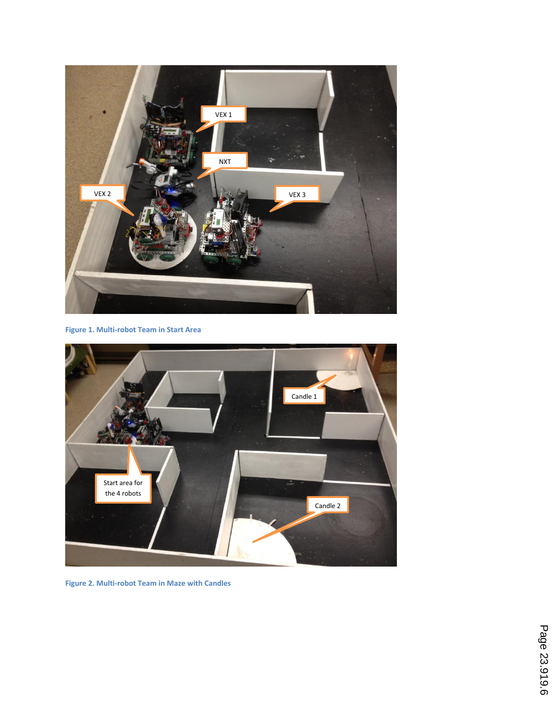

**Figure 1. Multi-robot Team in Start Area**

![](_page_5_Picture_2.jpeg)

**Figure 2. Multi-robot Team in Maze with Candles**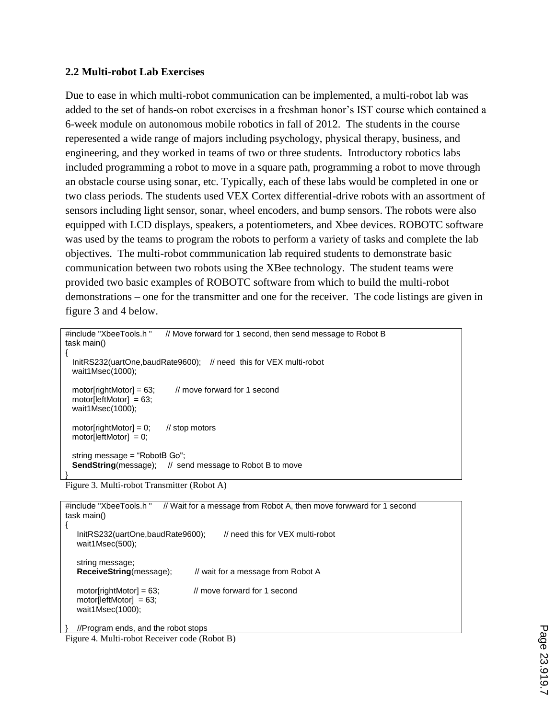#### **2.2 Multi-robot Lab Exercises**

Due to ease in which multi-robot communication can be implemented, a multi-robot lab was added to the set of hands-on robot exercises in a freshman honor's IST course which contained a 6-week module on autonomous mobile robotics in fall of 2012. The students in the course reperesented a wide range of majors including psychology, physical therapy, business, and engineering, and they worked in teams of two or three students. Introductory robotics labs included programming a robot to move in a square path, programming a robot to move through an obstacle course using sonar, etc. Typically, each of these labs would be completed in one or two class periods. The students used VEX Cortex differential-drive robots with an assortment of sensors including light sensor, sonar, wheel encoders, and bump sensors. The robots were also equipped with LCD displays, speakers, a potentiometers, and Xbee devices. ROBOTC software was used by the teams to program the robots to perform a variety of tasks and complete the lab objectives. The multi-robot commmunication lab required students to demonstrate basic communication between two robots using the XBee technology. The student teams were provided two basic examples of ROBOTC software from which to build the multi-robot demonstrations – one for the transmitter and one for the receiver. The code listings are given in figure 3 and 4 below.

```
#include "XbeeTools.h " // Move forward for 1 second, then send message to Robot B
task main()
{
  InitRS232(uartOne,baudRate9600); // need this for VEX multi-robot
  wait1Msec(1000);
 motor[rightMotor] = 63; // move forward for 1 second
  motor[leftMotor] = 63;
  wait1Msec(1000);
 motor[rightMotor] = 0; // stop motors
 motor[leftMotor] = 0; string message = "RobotB Go";
 SendString(message); // send message to Robot B to move
}
```

```
Figure 3. Multi-robot Transmitter (Robot A)
```

```
#include "XbeeTools.h " // Wait for a message from Robot A, then move forwward for 1 second
task main() 
{
  InitRS232(uartOne,baudRate9600); // need this for VEX multi-robot
   wait1Msec(500);
   string message; 
  ReceiveString(message); // wait for a message from Robot A
  motor[rightMotor] = 63; // move forward for 1 second
  motor[leftMotor] = 63; wait1Msec(1000);
  //Program ends, and the robot stops
```
Figure 4. Multi-robot Receiver code (Robot B)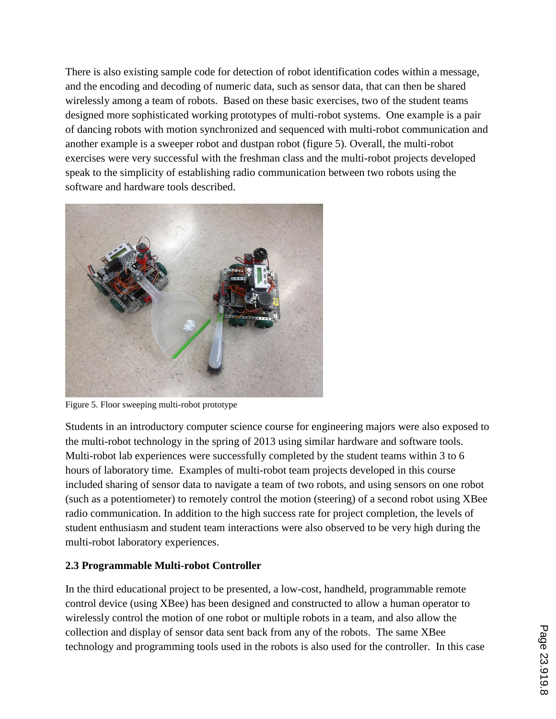There is also existing sample code for detection of robot identification codes within a message, and the encoding and decoding of numeric data, such as sensor data, that can then be shared wirelessly among a team of robots. Based on these basic exercises, two of the student teams designed more sophisticated working prototypes of multi-robot systems. One example is a pair of dancing robots with motion synchronized and sequenced with multi-robot communication and another example is a sweeper robot and dustpan robot (figure 5). Overall, the multi-robot exercises were very successful with the freshman class and the multi-robot projects developed speak to the simplicity of establishing radio communication between two robots using the software and hardware tools described.

![](_page_7_Picture_1.jpeg)

Figure 5. Floor sweeping multi-robot prototype

Students in an introductory computer science course for engineering majors were also exposed to the multi-robot technology in the spring of 2013 using similar hardware and software tools. Multi-robot lab experiences were successfully completed by the student teams within 3 to 6 hours of laboratory time. Examples of multi-robot team projects developed in this course included sharing of sensor data to navigate a team of two robots, and using sensors on one robot (such as a potentiometer) to remotely control the motion (steering) of a second robot using XBee radio communication. In addition to the high success rate for project completion, the levels of student enthusiasm and student team interactions were also observed to be very high during the multi-robot laboratory experiences.

# **2.3 Programmable Multi-robot Controller**

In the third educational project to be presented, a low-cost, handheld, programmable remote control device (using XBee) has been designed and constructed to allow a human operator to wirelessly control the motion of one robot or multiple robots in a team, and also allow the collection and display of sensor data sent back from any of the robots. The same XBee technology and programming tools used in the robots is also used for the controller. In this case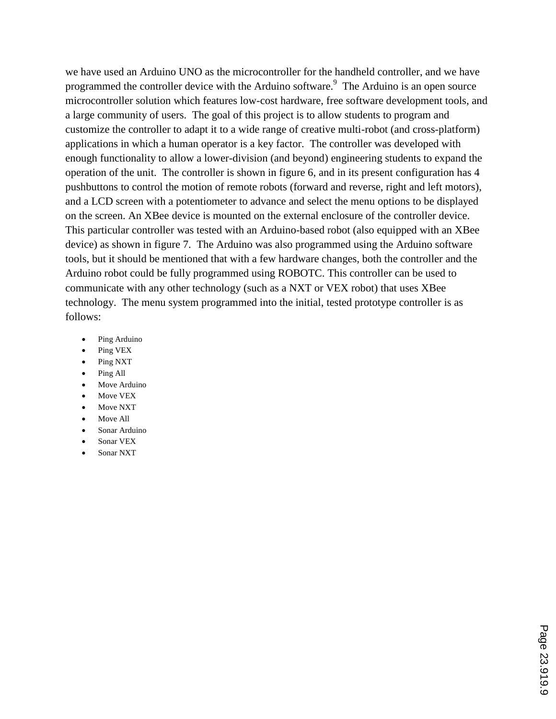we have used an Arduino UNO as the microcontroller for the handheld controller, and we have programmed the controller device with the Arduino software.<sup>9</sup> The Arduino is an open source microcontroller solution which features low-cost hardware, free software development tools, and a large community of users. The goal of this project is to allow students to program and customize the controller to adapt it to a wide range of creative multi-robot (and cross-platform) applications in which a human operator is a key factor. The controller was developed with enough functionality to allow a lower-division (and beyond) engineering students to expand the operation of the unit. The controller is shown in figure 6, and in its present configuration has 4 pushbuttons to control the motion of remote robots (forward and reverse, right and left motors), and a LCD screen with a potentiometer to advance and select the menu options to be displayed on the screen. An XBee device is mounted on the external enclosure of the controller device. This particular controller was tested with an Arduino-based robot (also equipped with an XBee device) as shown in figure 7. The Arduino was also programmed using the Arduino software tools, but it should be mentioned that with a few hardware changes, both the controller and the Arduino robot could be fully programmed using ROBOTC. This controller can be used to communicate with any other technology (such as a NXT or VEX robot) that uses XBee technology. The menu system programmed into the initial, tested prototype controller is as follows:

- Ping Arduino
- Ping VEX
- Ping NXT
- Ping All
- Move Arduino
- Move VEX
- Move NXT
- Move All
- Sonar Arduino
- Sonar VEX
- Sonar NXT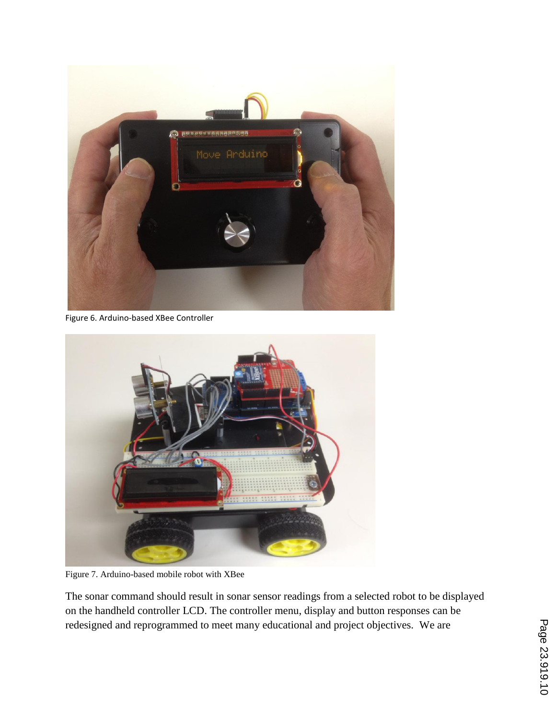![](_page_9_Picture_0.jpeg)

Figure 6. Arduino-based XBee Controller

![](_page_9_Picture_2.jpeg)

Figure 7. Arduino-based mobile robot with XBee

The sonar command should result in sonar sensor readings from a selected robot to be displayed on the handheld controller LCD. The controller menu, display and button responses can be redesigned and reprogrammed to meet many educational and project objectives. We are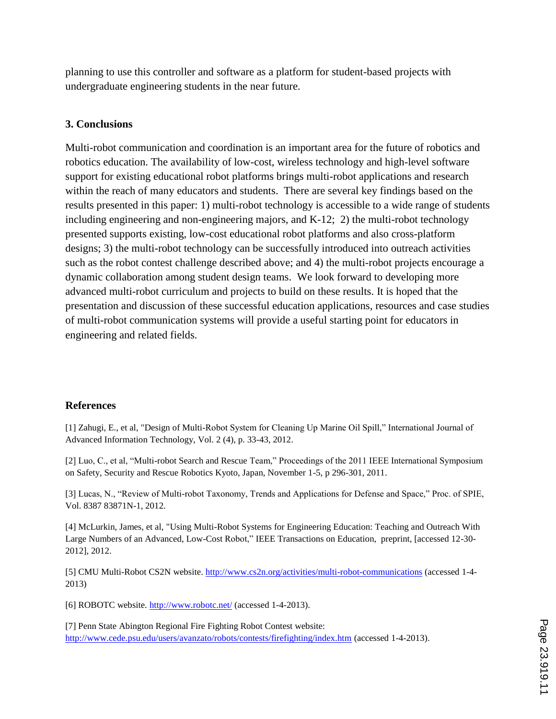planning to use this controller and software as a platform for student-based projects with undergraduate engineering students in the near future.

## **3. Conclusions**

Multi-robot communication and coordination is an important area for the future of robotics and robotics education. The availability of low-cost, wireless technology and high-level software support for existing educational robot platforms brings multi-robot applications and research within the reach of many educators and students. There are several key findings based on the results presented in this paper: 1) multi-robot technology is accessible to a wide range of students including engineering and non-engineering majors, and K-12; 2) the multi-robot technology presented supports existing, low-cost educational robot platforms and also cross-platform designs; 3) the multi-robot technology can be successfully introduced into outreach activities such as the robot contest challenge described above; and 4) the multi-robot projects encourage a dynamic collaboration among student design teams. We look forward to developing more advanced multi-robot curriculum and projects to build on these results. It is hoped that the presentation and discussion of these successful education applications, resources and case studies of multi-robot communication systems will provide a useful starting point for educators in engineering and related fields.

### **References**

[1] Zahugi, E., et al, "Design of Multi-Robot System for Cleaning Up Marine Oil Spill," International Journal of Advanced Information Technology, Vol. 2 (4), p. 33-43, 2012.

[2] Luo, C., et al, "Multi-robot Search and Rescue Team," Proceedings of the 2011 IEEE International Symposium on Safety, Security and Rescue Robotics Kyoto, Japan, November 1-5, p 296-301, 2011.

[3] Lucas, N., "Review of Multi-robot Taxonomy, Trends and Applications for Defense and Space," Proc. of SPIE, Vol. 8387 83871N-1, 2012.

[4] McLurkin, James, et al, "Using Multi-Robot Systems for Engineering Education: Teaching and Outreach With Large Numbers of an Advanced, Low-Cost Robot," IEEE Transactions on Education, preprint, [accessed 12-30- 2012], 2012.

[5] CMU Multi-Robot CS2N website. http://www.cs2n.org/activities/multi-robot-communications (accessed 1-4- 2013)

[6] ROBOTC website. http://www.robotc.net/ (accessed 1-4-2013).

[7] Penn State Abington Regional Fire Fighting Robot Contest website: http://www.cede.psu.edu/users/avanzato/robots/contests/firefighting/index.htm (accessed 1-4-2013).